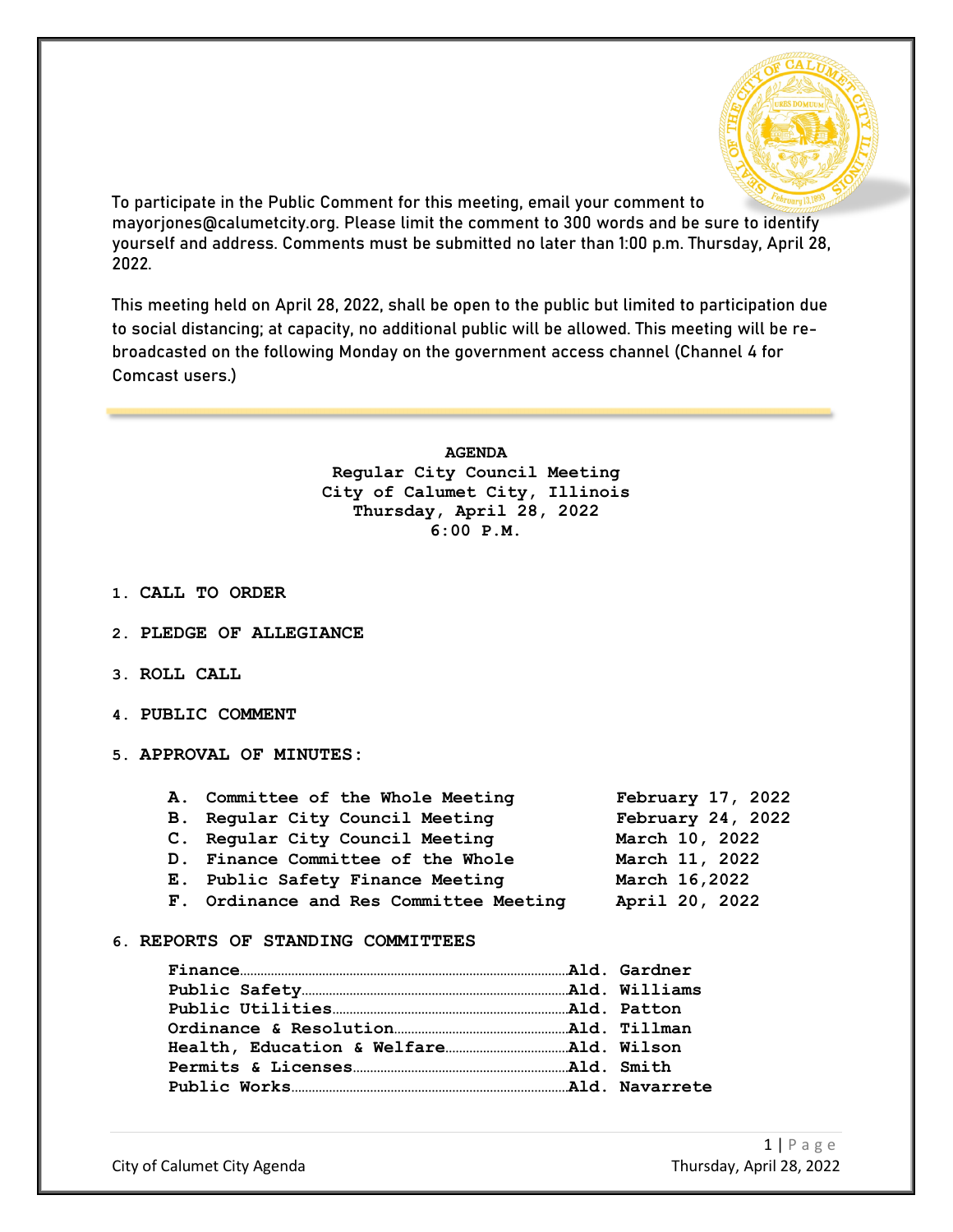

To participate in the Public Comment for this meeting, email your comment to mayorjones@calumetcity.org. Please limit the comment to 300 words and be sure to identify yourself and address. Comments must be submitted no later than 1:00 p.m. Thursday, April 28, 2022.

This meeting held on April 28, 2022, shall be open to the public but limited to participation due to social distancing; at capacity, no additional public will be allowed. This meeting will be rebroadcasted on the following Monday on the government access channel (Channel 4 for Comcast users.)

> **AGENDA Regular City Council Meeting City of Calumet City, Illinois Thursday, April 28, 2022 6:00 P.M.**

- **1. CALL TO ORDER**
- **2. PLEDGE OF ALLEGIANCE**
- **3. ROLL CALL**
- **4. PUBLIC COMMENT**
- **5. APPROVAL OF MINUTES:**

| A. Committee of the Whole Meeting      | February 17, 2022 |
|----------------------------------------|-------------------|
| B. Regular City Council Meeting        | February 24, 2022 |
| C. Regular City Council Meeting        | March 10, 2022    |
| D. Finance Committee of the Whole      | March 11, 2022    |
| E. Public Safety Finance Meeting       | March 16,2022     |
| F. Ordinance and Res Committee Meeting | April 20, 2022    |
|                                        |                   |

#### **6. REPORTS OF STANDING COMMITTEES**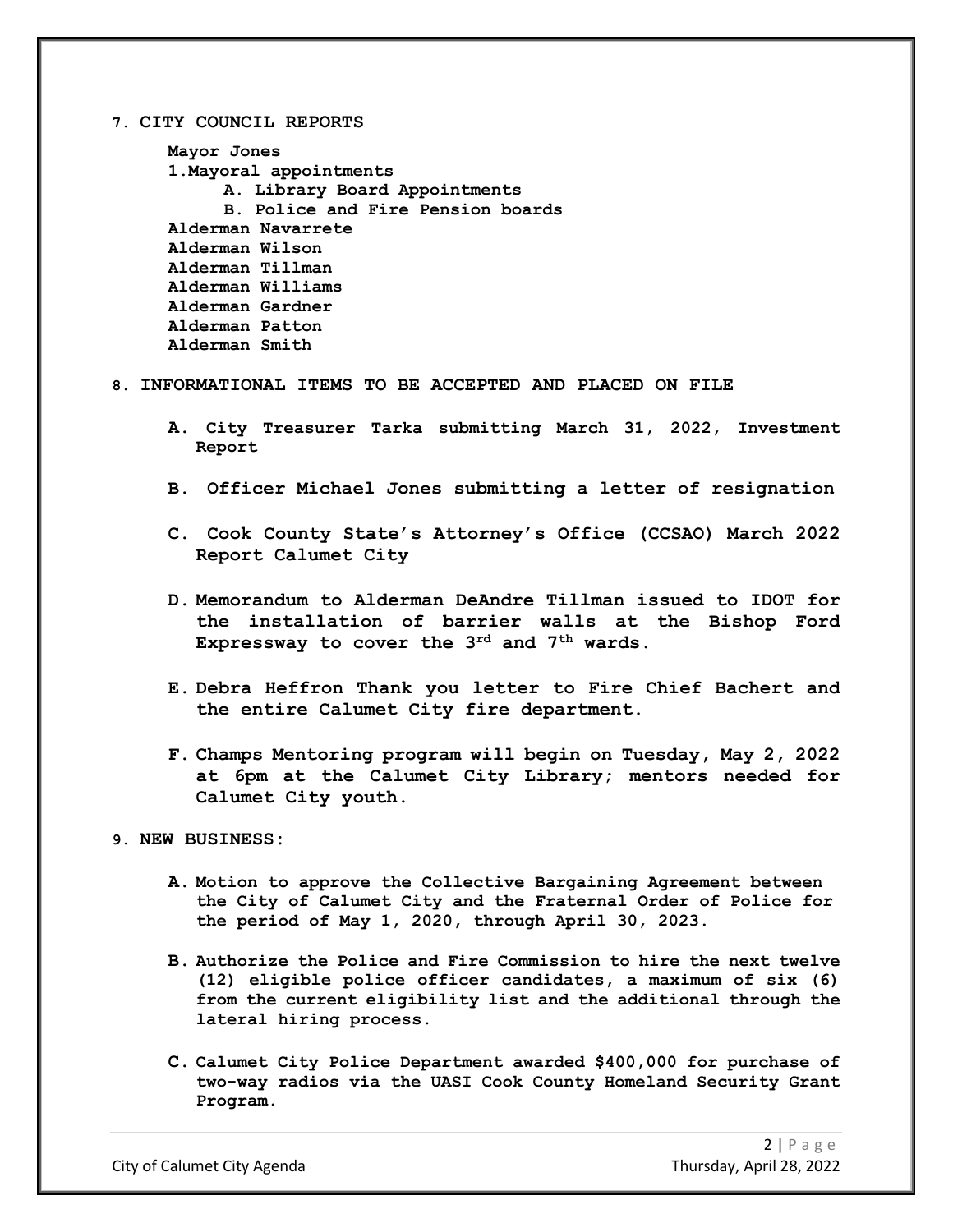#### **7. CITY COUNCIL REPORTS**

```
Mayor Jones
1.Mayoral appointments
     A. Library Board Appointments
     B. Police and Fire Pension boards
Alderman Navarrete
Alderman Wilson
Alderman Tillman
Alderman Williams
Alderman Gardner
Alderman Patton
Alderman Smith
```
## **8. INFORMATIONAL ITEMS TO BE ACCEPTED AND PLACED ON FILE**

- **A. City Treasurer Tarka submitting March 31, 2022, Investment Report**
- **B. Officer Michael Jones submitting a letter of resignation**
- **C. Cook County State's Attorney's Office (CCSAO) March 2022 Report Calumet City**
- **D. Memorandum to Alderman DeAndre Tillman issued to IDOT for the installation of barrier walls at the Bishop Ford Expressway to cover the 3rd and 7th wards.**
- **E. Debra Heffron Thank you letter to Fire Chief Bachert and the entire Calumet City fire department.**
- **F. Champs Mentoring program will begin on Tuesday, May 2, 2022 at 6pm at the Calumet City Library; mentors needed for Calumet City youth.**

## **9. NEW BUSINESS:**

- **A. Motion to approve the Collective Bargaining Agreement between the City of Calumet City and the Fraternal Order of Police for the period of May 1, 2020, through April 30, 2023.**
- **B. Authorize the Police and Fire Commission to hire the next twelve (12) eligible police officer candidates, a maximum of six (6) from the current eligibility list and the additional through the lateral hiring process.**
- **C. Calumet City Police Department awarded \$400,000 for purchase of two-way radios via the UASI Cook County Homeland Security Grant Program.**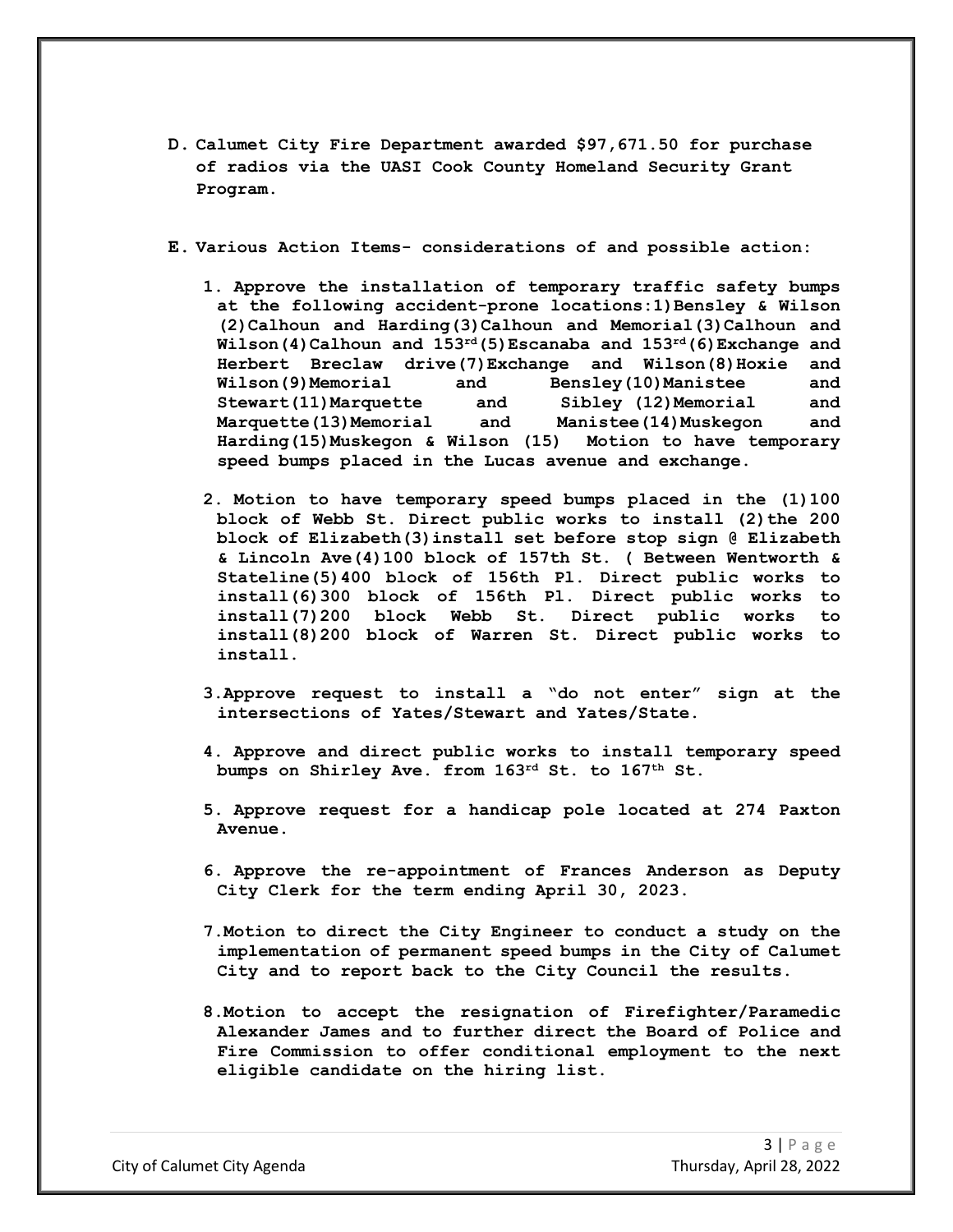- **D. Calumet City Fire Department awarded \$97,671.50 for purchase of radios via the UASI Cook County Homeland Security Grant Program.**
- **E. Various Action Items- considerations of and possible action:**
	- **1. Approve the installation of temporary traffic safety bumps at the following accident-prone locations:1)Bensley & Wilson (2)Calhoun and Harding(3)Calhoun and Memorial(3)Calhoun and Wilson(4)Calhoun and 153rd(5)Escanaba and 153rd(6)Exchange and Herbert Breclaw drive(7)Exchange** and **Wilson(8)Hoxie** and<br>**Wilson(9)Memorial** and **Bensley(10)Manistee** and **Wilson(9)Memorial and Bensley(10)Manistee and Stewart(11)Marquette and Sibley (12)Memorial and Marquette(13)Memorial and Manistee(14)Muskegon and Harding(15)Muskegon & Wilson (15) speed bumps placed in the Lucas avenue and exchange.**
	- **2. Motion to have temporary speed bumps placed in the (1)100 block of Webb St. Direct public works to install (2)the 200 block of Elizabeth(3)install set before stop sign @ Elizabeth & Lincoln Ave(4)100 block of 157th St. ( Between Wentworth & Stateline(5)400 block of 156th Pl. Direct public works to install(6)300 block of 156th Pl. Direct public works to install(7)200 block Webb St. Direct public works to install(8)200 block of Warren St. Direct public works to install.**
	- **3.Approve request to install a "do not enter" sign at the intersections of Yates/Stewart and Yates/State.**
	- **4. Approve and direct public works to install temporary speed bumps on Shirley Ave. from 163rd St. to 167th St.**
	- **5. Approve request for a handicap pole located at 274 Paxton Avenue.**
	- **6. Approve the re-appointment of Frances Anderson as Deputy City Clerk for the term ending April 30, 2023.**
	- **7.Motion to direct the City Engineer to conduct a study on the implementation of permanent speed bumps in the City of Calumet City and to report back to the City Council the results.**
	- **8.Motion to accept the resignation of Firefighter/Paramedic Alexander James and to further direct the Board of Police and Fire Commission to offer conditional employment to the next eligible candidate on the hiring list.**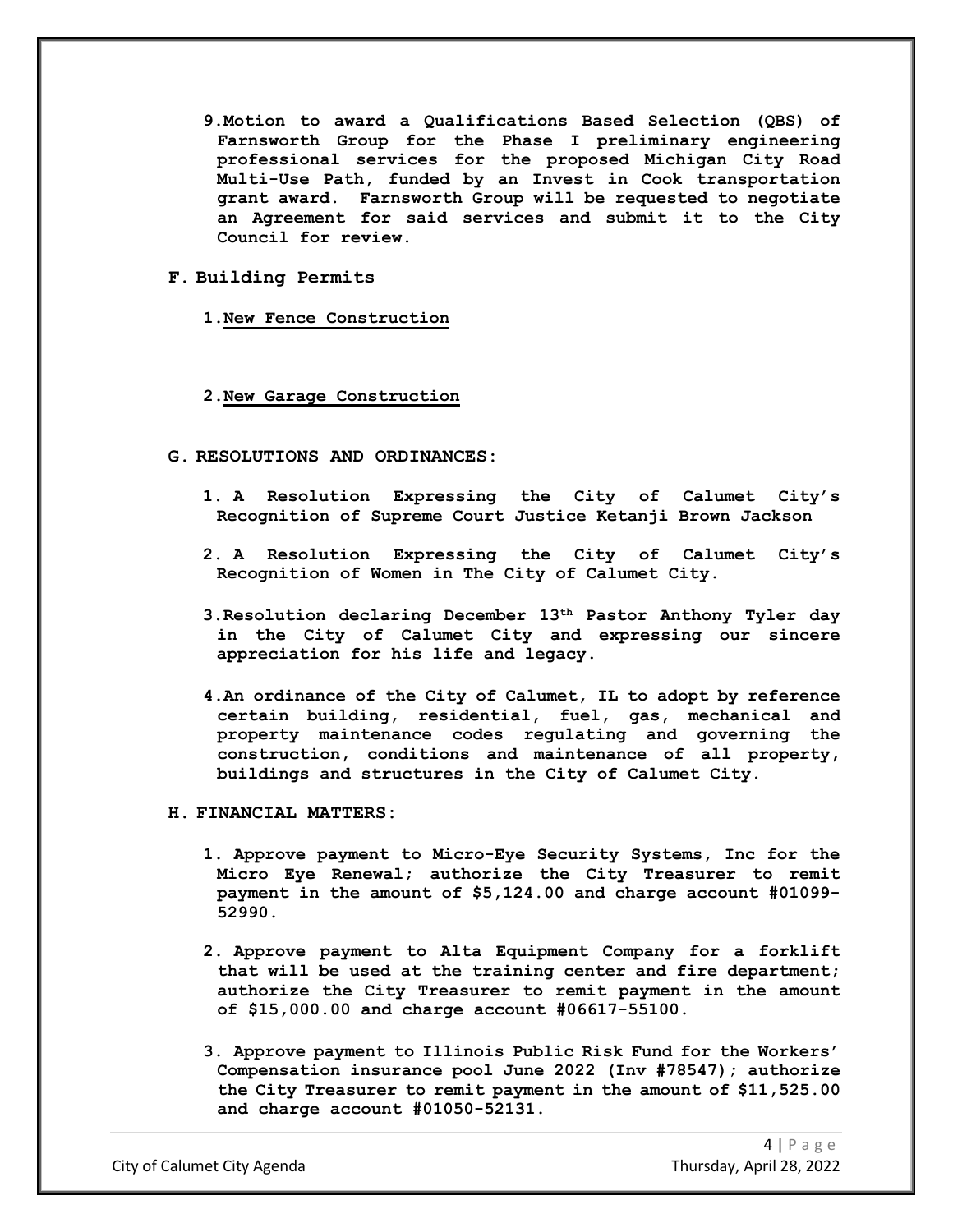- **9.Motion to award a Qualifications Based Selection (QBS) of Farnsworth Group for the Phase I preliminary engineering professional services for the proposed Michigan City Road Multi-Use Path, funded by an Invest in Cook transportation grant award. Farnsworth Group will be requested to negotiate an Agreement for said services and submit it to the City Council for review.**
- **F. Building Permits**
	- **1.New Fence Construction**

## **2.New Garage Construction**

- **G. RESOLUTIONS AND ORDINANCES:**
	- **1. A Resolution Expressing the City of Calumet City's Recognition of Supreme Court Justice Ketanji Brown Jackson**
	- **2. A Resolution Expressing the City of Calumet City's Recognition of Women in The City of Calumet City.**
	- **3.Resolution declaring December 13th Pastor Anthony Tyler day in the City of Calumet City and expressing our sincere appreciation for his life and legacy.**
	- **4.An ordinance of the City of Calumet, IL to adopt by reference certain building, residential, fuel, gas, mechanical and property maintenance codes regulating and governing the construction, conditions and maintenance of all property, buildings and structures in the City of Calumet City.**
- **H. FINANCIAL MATTERS:**
	- **1. Approve payment to Micro-Eye Security Systems, Inc for the Micro Eye Renewal; authorize the City Treasurer to remit payment in the amount of \$5,124.00 and charge account #01099- 52990.**
	- **2. Approve payment to Alta Equipment Company for a forklift that will be used at the training center and fire department; authorize the City Treasurer to remit payment in the amount of \$15,000.00 and charge account #06617-55100.**
	- **3. Approve payment to Illinois Public Risk Fund for the Workers' Compensation insurance pool June 2022 (Inv #78547); authorize the City Treasurer to remit payment in the amount of \$11,525.00 and charge account #01050-52131.**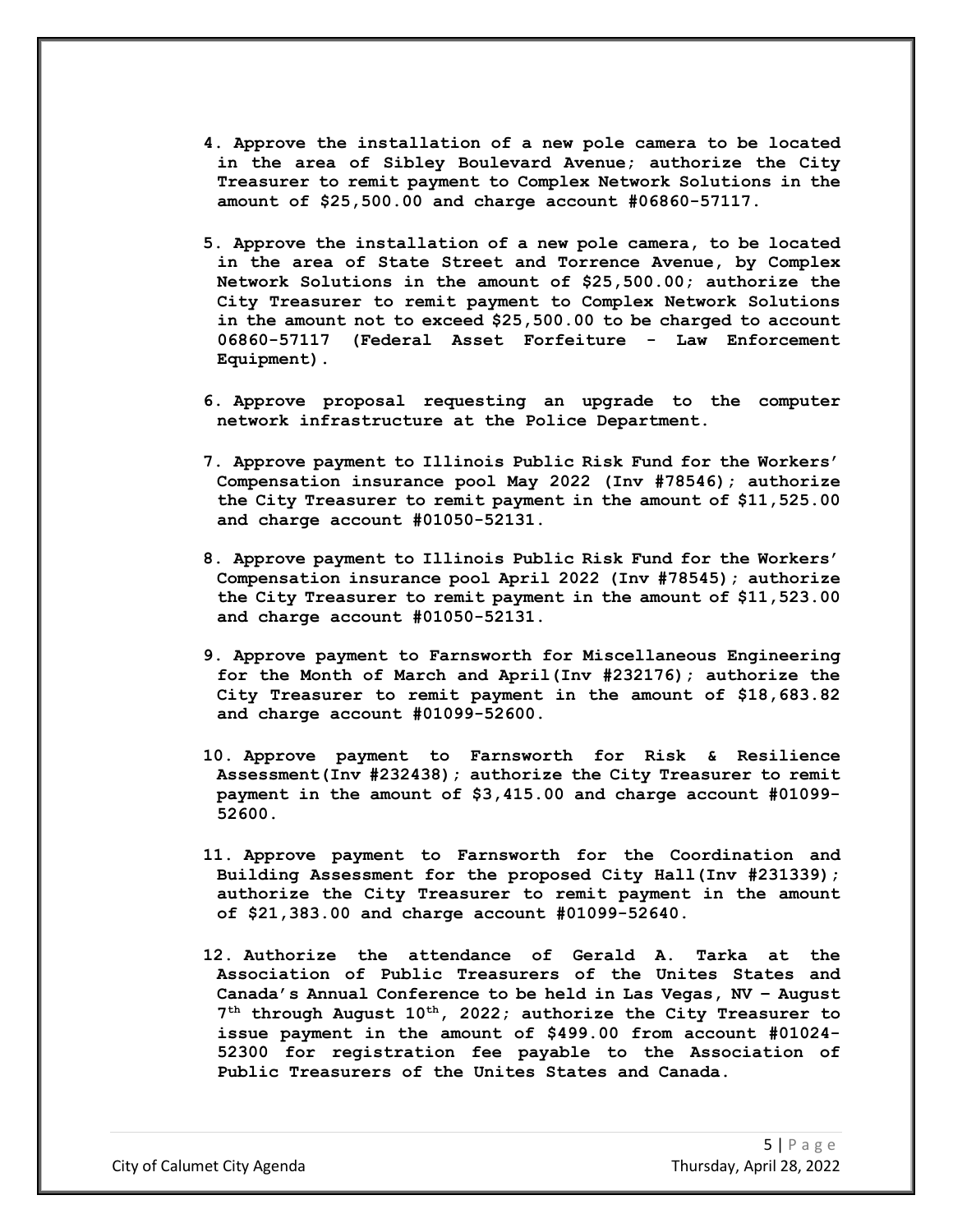- **4. Approve the installation of a new pole camera to be located in the area of Sibley Boulevard Avenue; authorize the City Treasurer to remit payment to Complex Network Solutions in the amount of \$25,500.00 and charge account #06860-57117.**
- **5. Approve the installation of a new pole camera, to be located in the area of State Street and Torrence Avenue, by Complex Network Solutions in the amount of \$25,500.00; authorize the City Treasurer to remit payment to Complex Network Solutions in the amount not to exceed \$25,500.00 to be charged to account 06860-57117 (Federal Asset Forfeiture - Law Enforcement Equipment).**
- **6. Approve proposal requesting an upgrade to the computer network infrastructure at the Police Department.**
- **7. Approve payment to Illinois Public Risk Fund for the Workers' Compensation insurance pool May 2022 (Inv #78546); authorize the City Treasurer to remit payment in the amount of \$11,525.00 and charge account #01050-52131.**
- **8. Approve payment to Illinois Public Risk Fund for the Workers' Compensation insurance pool April 2022 (Inv #78545); authorize the City Treasurer to remit payment in the amount of \$11,523.00 and charge account #01050-52131.**
- **9. Approve payment to Farnsworth for Miscellaneous Engineering for the Month of March and April(Inv #232176); authorize the City Treasurer to remit payment in the amount of \$18,683.82 and charge account #01099-52600.**
- **10. Approve payment to Farnsworth for Risk & Resilience Assessment(Inv #232438); authorize the City Treasurer to remit payment in the amount of \$3,415.00 and charge account #01099- 52600.**
- **11. Approve payment to Farnsworth for the Coordination and Building Assessment for the proposed City Hall(Inv #231339); authorize the City Treasurer to remit payment in the amount of \$21,383.00 and charge account #01099-52640.**
- **12. Authorize the attendance of Gerald A. Tarka at the Association of Public Treasurers of the Unites States and Canada's Annual Conference to be held in Las Vegas, NV – August 7th through August 10th, 2022; authorize the City Treasurer to issue payment in the amount of \$499.00 from account #01024- 52300 for registration fee payable to the Association of Public Treasurers of the Unites States and Canada.**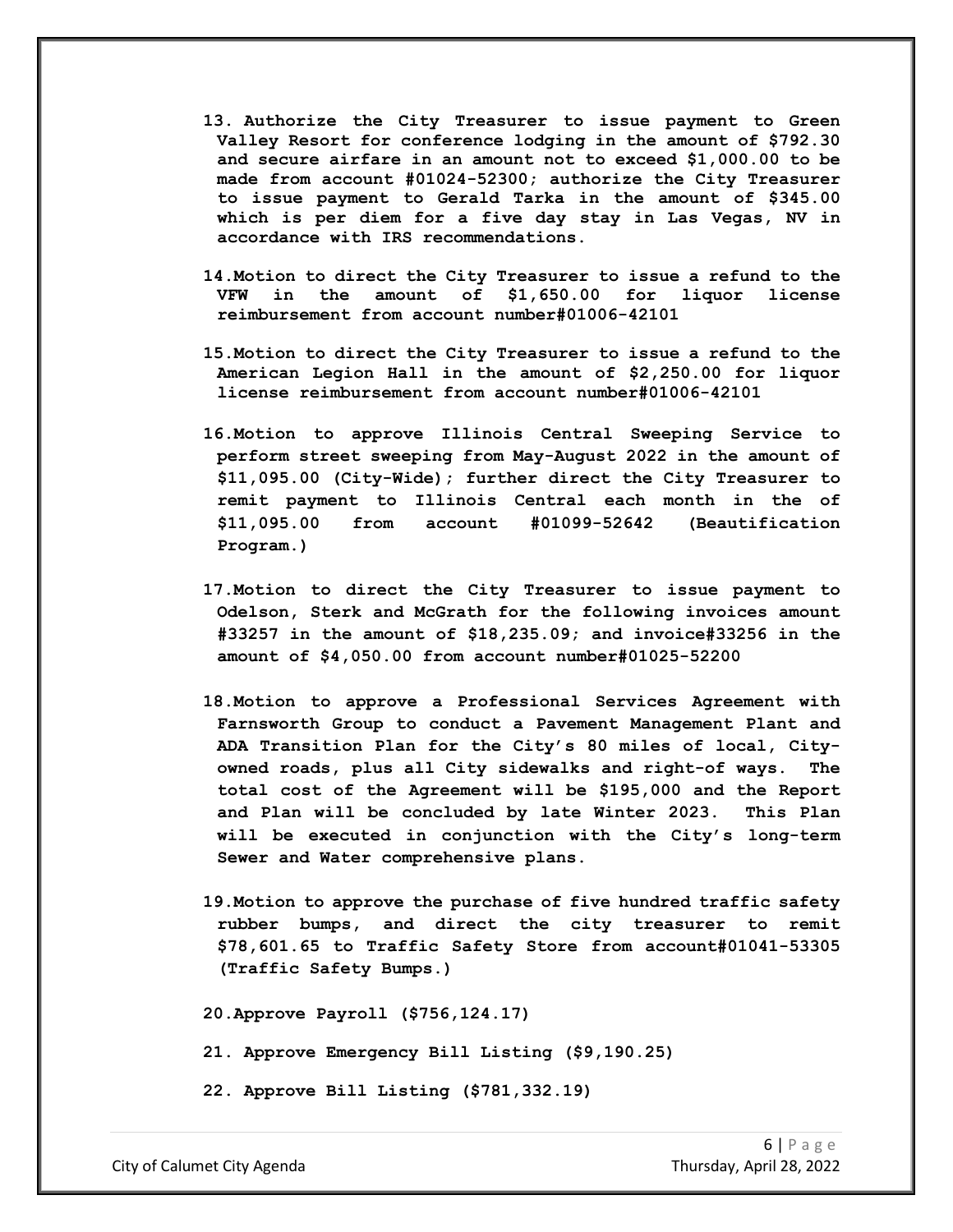- **13. Authorize the City Treasurer to issue payment to Green Valley Resort for conference lodging in the amount of \$792.30 and secure airfare in an amount not to exceed \$1,000.00 to be made from account #01024-52300; authorize the City Treasurer to issue payment to Gerald Tarka in the amount of \$345.00 which is per diem for a five day stay in Las Vegas, NV in accordance with IRS recommendations.**
- **14.Motion to direct the City Treasurer to issue a refund to the VFW in the amount of \$1,650.00 for liquor license reimbursement from account number#01006-42101**
- **15.Motion to direct the City Treasurer to issue a refund to the American Legion Hall in the amount of \$2,250.00 for liquor license reimbursement from account number#01006-42101**
- **16.Motion to approve Illinois Central Sweeping Service to perform street sweeping from May-August 2022 in the amount of \$11,095.00 (City-Wide); further direct the City Treasurer to remit payment to Illinois Central each month in the of \$11,095.00 from account #01099-52642 (Beautification Program.)**
- **17.Motion to direct the City Treasurer to issue payment to Odelson, Sterk and McGrath for the following invoices amount #33257 in the amount of \$18,235.09; and invoice#33256 in the amount of \$4,050.00 from account number#01025-52200**
- **18.Motion to approve a Professional Services Agreement with Farnsworth Group to conduct a Pavement Management Plant and ADA Transition Plan for the City's 80 miles of local, Cityowned roads, plus all City sidewalks and right-of ways. The total cost of the Agreement will be \$195,000 and the Report and Plan will be concluded by late Winter 2023. This Plan will be executed in conjunction with the City's long-term Sewer and Water comprehensive plans.**
- **19.Motion to approve the purchase of five hundred traffic safety rubber bumps, and direct the city treasurer to remit \$78,601.65 to Traffic Safety Store from account#01041-53305 (Traffic Safety Bumps.)**

**20.Approve Payroll (\$756,124.17)**

**21. Approve Emergency Bill Listing (\$9,190.25)**

**22. Approve Bill Listing (\$781,332.19)**